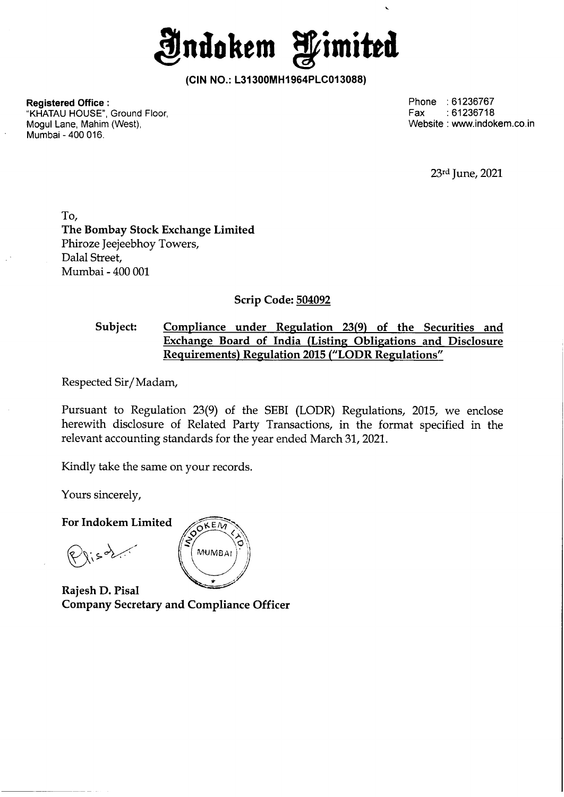

**(CIN NO.: L31300MH1964PLC013088)** 

**Registered Office :**  "KHATAU HOUSE", Ground Floor, Mogul Lane, Mahim (West), Mumbai - 400 016.

Phone : 61236767<br>Fax : 61236718  $:61236718$ Website : www.indokem.co.in

23rd June, 2021

To, **The Bombay Stock Exchange Limited**  Phiroze Jeejeebhoy Towers, Dalal Street, Mumbai-400 001

**Scrip Code: 504092** 

# **Subject: Compliance under Regulation 23(9) of the Securities and Exchange Board of India (Listing Obligations and Disclosure Requirements) Regulation 2015** *("LODR* **Regulations"**

Respected Sir/ Madam,

Pursuant to Regulation 23(9) of the SEBI (LODR) Regulations, 2015, we enclose herewith disclosure of Related Party Transactions, in the format specified in the relevant accounting standards for the year ended March 31, 2021.

Kindly take the same on your records.

Yours sincerely,

**For lndokem Limited** 



**Rajesh D. Pisal Company Secretary and Compliance Officer**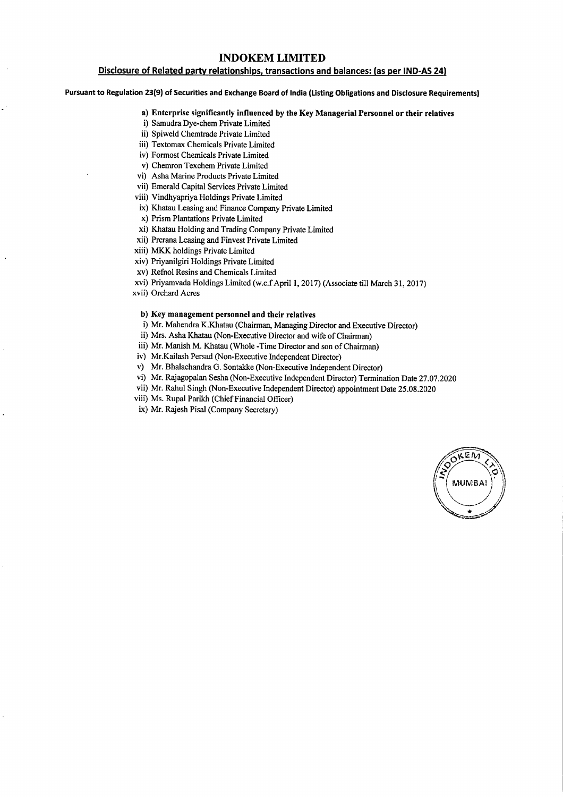## **INDOKEM LIMITED**

### **Disclosure of Related party relationships, transactions and balances: (as per IND-AS 24)**

#### **Pursuant to Regulation 23(9) of Securities and Exchange Board of India (Listing Obligations and Disclosure Requirements)**

## **a) Enterprise significantly influenced by the Key Managerial Personnel or their relatives**

- i) Samudra Dye-chem Private Limited
- ii) Spiweld Chemtrade Private Limited
- iii) Textomax Chemicals Private Limited
- iv) Formost Chemicals Private Limited
- v) Chemron Texchem Private Limited
- vi) Asha Marine Products Private Limited
- vii) Emerald Capital Services Private Limited
- viii) Vindhyapriya Holdings Private Limited
- ix) Khatau Leasing and Finance Company Private Limited
- x) Prism Plantations Private Limited
- xi) Khatau Holding and Trading Company Private Limited
- xii) Prerana Leasing and Finvest Private Limited
- xiii) MKK holdings Private Limited
- xiv) Priyanilgiri Holdings Private Limited
- xv) Refnol Resins and Chemicals Limited
- xvi) Priyamvada Holdings Limited (w.e.f April **1,** 2017) (Associate till March 31, 2017)
- xvii) Orchard Acres

#### **b) Key management personnel and their relatives**

- i) Mr. Mahendra K.Khatau (Chairman, Managing Director and Executive Director)
- ii) Mrs. Asha Khatau (Non-Executive Director and wife of Chairman)
- iii) Mr. Manish M. Khatau (Whole -Time Director and son of Chairman)
- iv) Mr.Kailash Persad (Non-Executive Independent Director)
- v) Mr. Bhalachandra G. Sontakke (Non-Executive Independent Director)
- vi) Mr. Rajagopalan Sesha (Non-Executive Independent Director) Termination Date 27.07.2020
- vii) Mr. Rahul Singh (Non-Executive Independent Director) appointment Date 25.08.2020
- viii) Ms. Rupal Parikh (Chief Financial Officer)
- ix) Mr. Rajesh Pisal (Company Secretary)

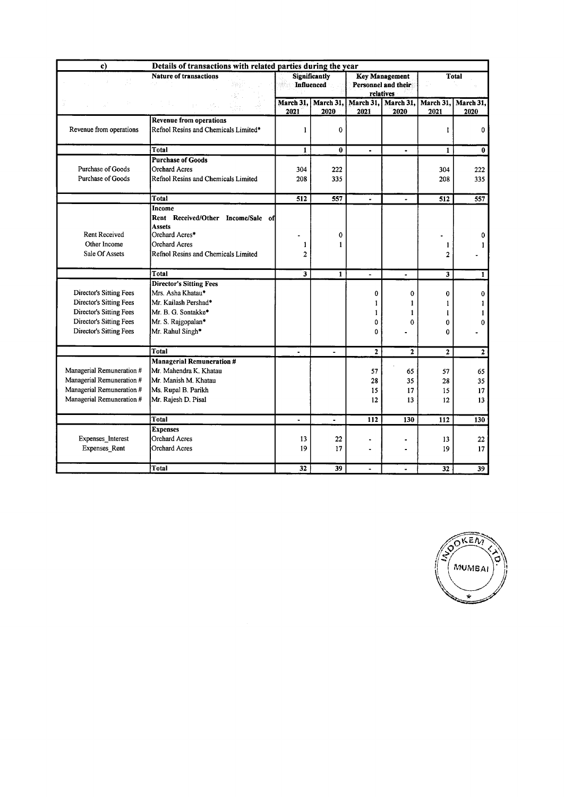| c)                                                                                                                                         | Details of transactions with related parties during the year                                                                                 |                                    |              |                                                           |                                       |                       |                      |
|--------------------------------------------------------------------------------------------------------------------------------------------|----------------------------------------------------------------------------------------------------------------------------------------------|------------------------------------|--------------|-----------------------------------------------------------|---------------------------------------|-----------------------|----------------------|
| W                                                                                                                                          | <b>Nature of transactions</b><br>an di                                                                                                       | <b>Significantly</b><br>Influenced |              | <b>Key Management</b><br>Personnel and their<br>relatives |                                       | Total                 |                      |
|                                                                                                                                            | $\pm$ 3 $^{\circ}$ .                                                                                                                         | March 31.<br>2021                  | 2020         | 2021                                                      | March 31, March 31, March 31,<br>2020 | March 31,<br>2021     | March 31,<br>2020    |
| Revenue from operations                                                                                                                    | <b>Revenue from operations</b><br>Refnol Resins and Chemicals Limited*                                                                       | 1                                  | 0            |                                                           |                                       | 1                     | 0                    |
|                                                                                                                                            | Total                                                                                                                                        | $\mathbf{1}$                       | $\bf{0}$     | $\blacksquare$                                            | $\qquad \qquad \blacksquare$          | $\mathbf{1}$          | $\bf{0}$             |
|                                                                                                                                            | <b>Purchase of Goods</b>                                                                                                                     |                                    |              |                                                           |                                       |                       |                      |
| Purchase of Goods                                                                                                                          | <b>Orchard Acres</b>                                                                                                                         | 304                                | 222          |                                                           |                                       | 304                   | 222                  |
| Purchase of Goods                                                                                                                          | Refnol Resins and Chemicals Limited                                                                                                          | 208                                | 335          |                                                           |                                       | 208                   | 335                  |
|                                                                                                                                            | Total                                                                                                                                        | 512                                | 557          | $\ddot{\phantom{a}}$                                      |                                       | 512                   | 557                  |
| <b>Rent Received</b><br>Other Income<br>Sale Of Assets                                                                                     | Income<br>Rent Received/Other Income/Sale of<br>Assets<br>Orchard Acres*<br><b>Orchard Acres</b><br>Refnol Resins and Chemicals Limited      | 1<br>$\overline{2}$                | 0<br>1       |                                                           |                                       | 1<br>$\overline{2}$   | 0                    |
|                                                                                                                                            | <b>Total</b>                                                                                                                                 | $\overline{\mathbf{3}}$            | $\mathbf{1}$ | $\frac{1}{2}$                                             | ٠                                     | 3                     | $\mathbf{1}$         |
| Director's Sitting Fees<br>Director's Sitting Fees<br>Director's Sitting Fees<br><b>Director's Sitting Fees</b><br>Director's Sitting Fees | <b>Director's Sitting Fees</b><br>Mrs. Asha Khatau*<br>Mr. Kailash Pershad*<br>Mr. B. G. Sontakke*<br>Mr. S. Rajgopalan*<br>Mr. Rahul Singh* |                                    |              | 0<br>1<br>1<br>0<br>0                                     | 0<br>1<br>1<br>$\bf{0}$               | 0<br>1<br>1<br>0<br>0 | 0<br>1<br>1<br>0     |
|                                                                                                                                            | Total                                                                                                                                        |                                    |              | $\mathbf{2}$                                              | $\overline{\mathbf{2}}$               | $\overline{2}$        | $\mathbf{2}$         |
| Managerial Remuneration #<br>Managerial Remuneration #<br>Managerial Remuneration #<br>Managerial Remuneration #                           | <b>Managerial Remuneration #</b><br>Mr. Mahendra K. Khatau<br>Mr. Manish M. Khatau<br>Ms. Rupal B. Parikh<br>Mr. Rajesh D. Pisal             |                                    |              | 57<br>28<br>15<br>12                                      | 65<br>35<br>17<br>13                  | 57<br>28<br>15<br>12  | 65<br>35<br>17<br>13 |
|                                                                                                                                            | Total                                                                                                                                        | $\blacksquare$                     | $\bullet$    | 112                                                       | 130                                   | 112                   | 130                  |
| Expenses_Interest<br>Expenses_Rent                                                                                                         | <b>Expenses</b><br><b>Orchard Acres</b><br><b>Orchard Acres</b>                                                                              | 13<br>19                           | 22<br>17     | ٠<br>$\ddot{ }$                                           |                                       | 13<br>19              | 22<br>17             |
|                                                                                                                                            | <b>Total</b>                                                                                                                                 | 32                                 | 39           | $\blacksquare$                                            |                                       | 32                    | 39                   |

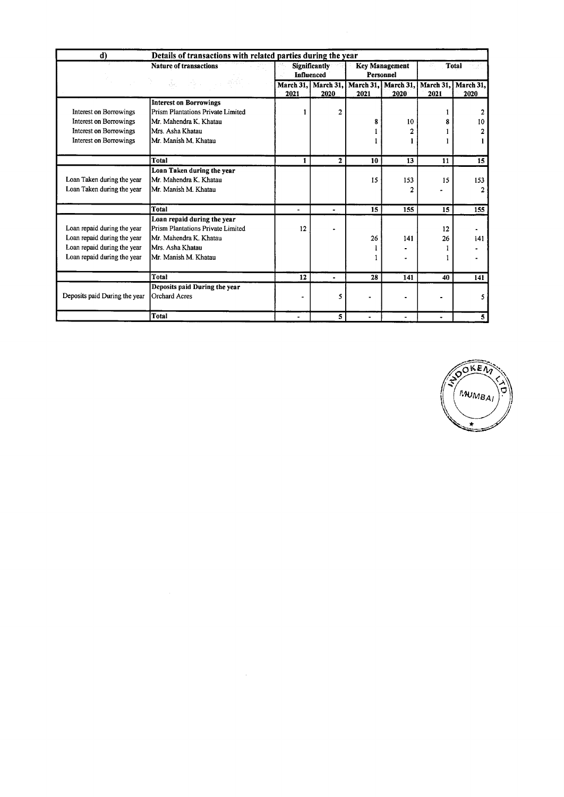| d)                                                                                                                       | Details of transactions with related parties during the year                                                                           |                                    |                             |                                    |                   |                   |                   |
|--------------------------------------------------------------------------------------------------------------------------|----------------------------------------------------------------------------------------------------------------------------------------|------------------------------------|-----------------------------|------------------------------------|-------------------|-------------------|-------------------|
|                                                                                                                          | <b>Nature of transactions</b>                                                                                                          | Significantly<br><b>Influenced</b> |                             | <b>Key Management</b><br>Personnel |                   | <b>Total</b>      |                   |
|                                                                                                                          | 300 - 대한민국의 12월 10일 <del>- 12</del> 월                                                                                                  | 2021                               | March 31, March 31,<br>2020 | March 31,<br>2021                  | March 31,<br>2020 | March 31,<br>2021 | March 31,<br>2020 |
|                                                                                                                          | <b>Interest on Borrowings</b>                                                                                                          |                                    |                             |                                    |                   |                   |                   |
| Interest on Borrowings                                                                                                   | Prism Plantations Private Limited                                                                                                      |                                    | $\overline{2}$              |                                    |                   |                   |                   |
| <b>Interest on Borrowings</b>                                                                                            | Mr. Mahendra K. Khatau                                                                                                                 |                                    |                             | 8                                  | 10                |                   | 10                |
| Interest on Borrowings                                                                                                   | Mrs. Asha Khatau                                                                                                                       |                                    |                             |                                    |                   |                   |                   |
| <b>Interest on Borrowings</b>                                                                                            | Mr. Manish M. Khatau                                                                                                                   |                                    |                             |                                    |                   |                   |                   |
|                                                                                                                          | Total                                                                                                                                  | 1                                  | 2                           | 10                                 | 13                | 11                | 15                |
| Loan Taken during the year<br>Loan Taken during the year                                                                 | Loan Taken during the year<br>Mr. Mahendra K. Khatau<br>Mr. Manish M. Khatau                                                           |                                    |                             | 15                                 | 153<br>2          | 15                | 153               |
|                                                                                                                          | Total                                                                                                                                  | $\qquad \qquad \blacksquare$       |                             | 15                                 | 155               | 15                | 155               |
| Loan repaid during the year<br>Loan repaid during the year<br>Loan repaid during the year<br>Loan repaid during the year | Loan repaid during the year<br>Prism Plantations Private Limited<br>Mr. Mahendra K. Khatau<br>Mrs. Asha Khatau<br>Mr. Manish M. Khatau | 12                                 |                             | 26                                 | 141               | 12<br>26          | 141               |
|                                                                                                                          | Total                                                                                                                                  | 12                                 | $\bullet$                   | 28                                 | 141               | 40                | 141               |
| Deposits paid During the year                                                                                            | Deposits paid During the year<br><b>Orchard Acres</b>                                                                                  |                                    | 5                           |                                    |                   |                   |                   |
|                                                                                                                          | Total                                                                                                                                  | $\blacksquare$                     | 5                           |                                    |                   |                   | 5                 |

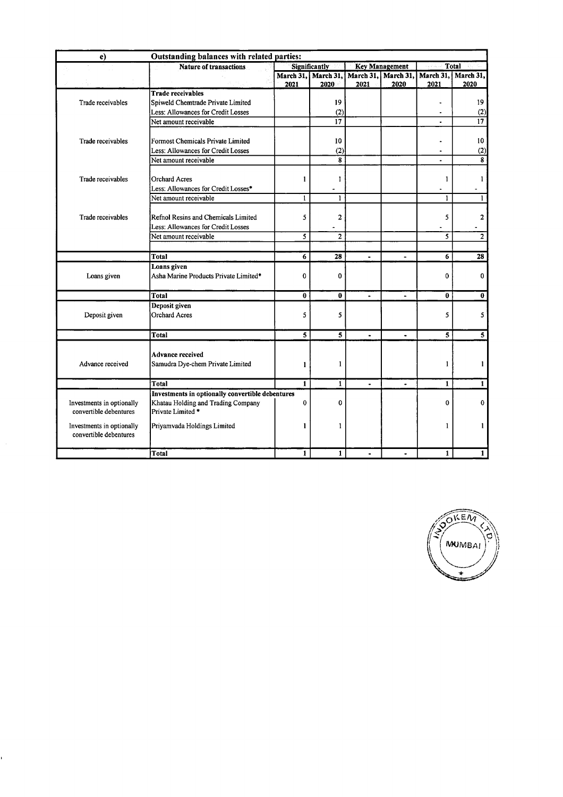| Outstanding balances with related parties:<br>e) |                                                  |                                        |                     |                |                      |              |                         |
|--------------------------------------------------|--------------------------------------------------|----------------------------------------|---------------------|----------------|----------------------|--------------|-------------------------|
|                                                  | <b>Nature of transactions</b>                    | Significantly<br><b>Key Management</b> |                     |                | <b>Total</b>         |              |                         |
|                                                  |                                                  |                                        | March 31, March 31, |                | March 31, March 31,  |              | March 31, March 31,     |
|                                                  |                                                  | 2021                                   | 2020                | 2021           | 2020                 | 2021         | 2020                    |
|                                                  | Trade receivables                                |                                        |                     |                |                      |              |                         |
| Trade receivables                                | Spiweld Chemtrade Private Limited                |                                        | 19                  |                |                      |              | 19                      |
|                                                  | Less: Allowances for Credit Losses               |                                        | (2)                 |                |                      |              | (2)                     |
|                                                  | Net amount receivable                            |                                        | $\overline{17}$     |                |                      |              | $\overline{17}$         |
| Trade receivables                                | Formost Chemicals Private Limited                |                                        | 10                  |                |                      |              | 10 <sup>°</sup>         |
|                                                  | Less: Allowances for Credit Losses               |                                        | (2)                 |                |                      |              | (2)                     |
|                                                  | Net amount receivable                            |                                        | 8                   |                |                      |              | 8                       |
|                                                  |                                                  |                                        |                     |                |                      |              |                         |
| Trade receivables                                | <b>Orchard Acres</b>                             | 1                                      | 1                   |                |                      | 1            | 1                       |
|                                                  | Less: Allowances for Credit Losses*              |                                        |                     |                |                      |              |                         |
|                                                  | Net amount receivable                            | $\mathbf{1}$                           | 1                   |                |                      | 1            | $\mathbf{1}$            |
|                                                  |                                                  |                                        |                     |                |                      |              |                         |
| Trade receivables                                | Refnol Resins and Chemicals Limited              | 5                                      | $\overline{a}$      |                |                      | 5            | $\overline{\mathbf{c}}$ |
|                                                  | Less: Allowances for Credit Losses               |                                        |                     |                |                      |              |                         |
|                                                  | Net amount receivable                            | 5                                      | $\overline{2}$      |                |                      | 5            | $\overline{2}$          |
|                                                  |                                                  |                                        |                     |                |                      |              |                         |
|                                                  | <b>Total</b>                                     | 6                                      | 28                  | ٠              | $\overline{a}$       | 6            | 28                      |
|                                                  | Loans given                                      |                                        |                     |                |                      |              |                         |
| Loans given                                      | Asha Marine Products Private Limited*            | $\mathbf 0$                            | 0                   |                |                      | $\mathbf 0$  | 0                       |
|                                                  |                                                  |                                        |                     |                |                      |              |                         |
|                                                  | Total                                            | $\mathbf{0}$                           | $\bf{0}$            | $\blacksquare$ |                      | $\mathbf{0}$ | $\bf{0}$                |
|                                                  | Deposit given                                    |                                        |                     |                |                      |              |                         |
| Deposit given                                    | <b>Orchard Acres</b>                             | 5                                      | 5                   |                |                      | 5            | 5                       |
|                                                  |                                                  |                                        |                     |                |                      |              |                         |
|                                                  | Total                                            | 5                                      | 5                   | $\blacksquare$ | $\ddot{\phantom{1}}$ | 5            | 5                       |
|                                                  |                                                  |                                        |                     |                |                      |              |                         |
|                                                  | <b>Advance received</b>                          |                                        |                     |                |                      |              |                         |
| Advance received                                 | Samudra Dye-chem Private Limited                 | 1                                      | 1                   |                |                      | $\mathbf{1}$ | $\mathbf{1}$            |
|                                                  | Total                                            | $\mathbf{1}$                           | $\mathbf{1}$        |                | $\blacksquare$       | $\mathbf{1}$ | 1                       |
|                                                  | Investments in optionally convertible debentures |                                        |                     |                |                      |              |                         |
| Investments in optionally                        | Khatau Holding and Trading Company               | 0                                      | $\bf{0}$            |                |                      | 0            | 0                       |
| convertible debentures                           | Private Limited *                                |                                        |                     |                |                      |              |                         |
| Investments in optionally                        | Priyamvada Holdings Limited                      | 1                                      | 1                   |                |                      | 1            | 1                       |
| convertible debentures                           |                                                  |                                        |                     |                |                      |              |                         |
|                                                  |                                                  |                                        |                     |                |                      |              |                         |
|                                                  | Total                                            | $\mathbf{1}$                           | 1                   |                |                      | 1            | 1                       |

 $\hat{\mathcal{A}}$ 

í.